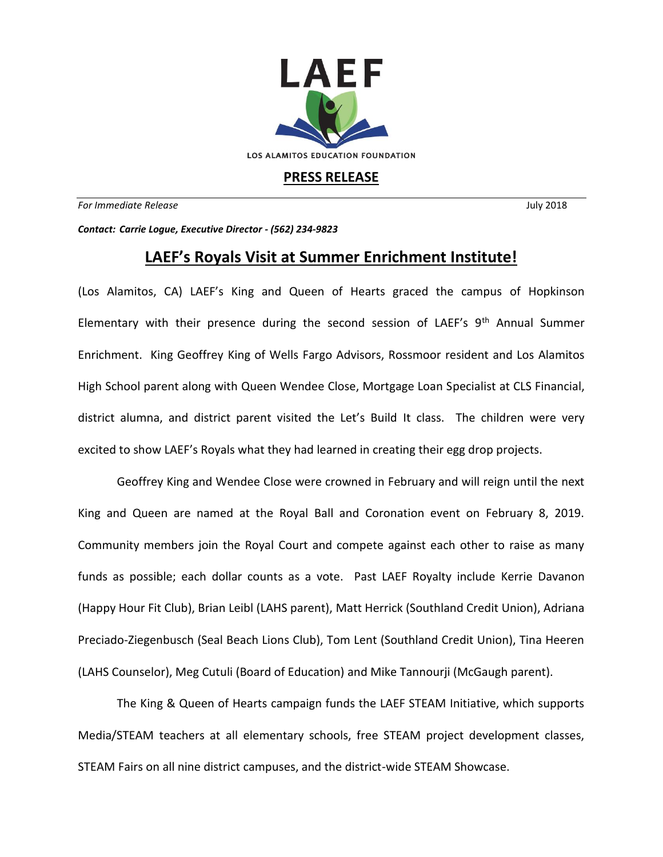

## **PRESS RELEASE**

*For Immediate Release* July 2018

*Contact: Carrie Logue, Executive Director - (562) 234-9823*

## **LAEF's Royals Visit at Summer Enrichment Institute!**

(Los Alamitos, CA) LAEF's King and Queen of Hearts graced the campus of Hopkinson Elementary with their presence during the second session of LAEF's  $9<sup>th</sup>$  Annual Summer Enrichment. King Geoffrey King of Wells Fargo Advisors, Rossmoor resident and Los Alamitos High School parent along with Queen Wendee Close, Mortgage Loan Specialist at CLS Financial, district alumna, and district parent visited the Let's Build It class. The children were very excited to show LAEF's Royals what they had learned in creating their egg drop projects.

Geoffrey King and Wendee Close were crowned in February and will reign until the next King and Queen are named at the Royal Ball and Coronation event on February 8, 2019. Community members join the Royal Court and compete against each other to raise as many funds as possible; each dollar counts as a vote. Past LAEF Royalty include Kerrie Davanon (Happy Hour Fit Club), Brian Leibl (LAHS parent), Matt Herrick (Southland Credit Union), Adriana Preciado-Ziegenbusch (Seal Beach Lions Club), Tom Lent (Southland Credit Union), Tina Heeren (LAHS Counselor), Meg Cutuli (Board of Education) and Mike Tannourji (McGaugh parent).

The King & Queen of Hearts campaign funds the LAEF STEAM Initiative, which supports Media/STEAM teachers at all elementary schools, free STEAM project development classes, STEAM Fairs on all nine district campuses, and the district-wide STEAM Showcase.